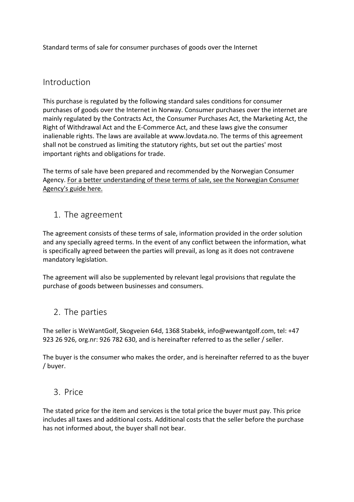Standard terms of sale for consumer purchases of goods over the Internet

### Introduction

This purchase is regulated by the following standard sales conditions for consumer purchases of goods over the Internet in Norway. Consumer purchases over the internet are mainly regulated by the Contracts Act, the Consumer Purchases Act, the Marketing Act, the Right of Withdrawal Act and the E-Commerce Act, and these laws give the consumer inalienable rights. The laws are available at www.lovdata.no. The terms of this agreement shall not be construed as limiting the statutory rights, but set out the parties' most important rights and obligations for trade.

The terms of sale have been prepared and recommended by the Norwegian Consumer Agency. For a better understanding of these terms of sale, see the Norwegian Consumer Agency's guide here.

### 1. The agreement

The agreement consists of these terms of sale, information provided in the order solution and any specially agreed terms. In the event of any conflict between the information, what is specifically agreed between the parties will prevail, as long as it does not contravene mandatory legislation.

The agreement will also be supplemented by relevant legal provisions that regulate the purchase of goods between businesses and consumers.

### 2. The parties

The seller is WeWantGolf, Skogveien 64d, 1368 Stabekk, info@wewantgolf.com, tel: +47 923 26 926, org.nr: 926 782 630, and is hereinafter referred to as the seller / seller.

The buyer is the consumer who makes the order, and is hereinafter referred to as the buyer / buyer.

### 3. Price

The stated price for the item and services is the total price the buyer must pay. This price includes all taxes and additional costs. Additional costs that the seller before the purchase has not informed about, the buyer shall not bear.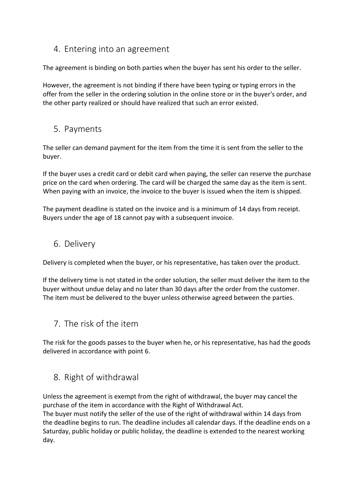### 4. Entering into an agreement

The agreement is binding on both parties when the buyer has sent his order to the seller.

However, the agreement is not binding if there have been typing or typing errors in the offer from the seller in the ordering solution in the online store or in the buyer's order, and the other party realized or should have realized that such an error existed.

### 5. Payments

The seller can demand payment for the item from the time it is sent from the seller to the buyer.

If the buyer uses a credit card or debit card when paying, the seller can reserve the purchase price on the card when ordering. The card will be charged the same day as the item is sent. When paying with an invoice, the invoice to the buyer is issued when the item is shipped.

The payment deadline is stated on the invoice and is a minimum of 14 days from receipt. Buyers under the age of 18 cannot pay with a subsequent invoice.

### 6. Delivery

Delivery is completed when the buyer, or his representative, has taken over the product.

If the delivery time is not stated in the order solution, the seller must deliver the item to the buyer without undue delay and no later than 30 days after the order from the customer. The item must be delivered to the buyer unless otherwise agreed between the parties.

## 7. The risk of the item

The risk for the goods passes to the buyer when he, or his representative, has had the goods delivered in accordance with point 6.

### 8. Right of withdrawal

Unless the agreement is exempt from the right of withdrawal, the buyer may cancel the purchase of the item in accordance with the Right of Withdrawal Act. The buyer must notify the seller of the use of the right of withdrawal within 14 days from the deadline begins to run. The deadline includes all calendar days. If the deadline ends on a Saturday, public holiday or public holiday, the deadline is extended to the nearest working day.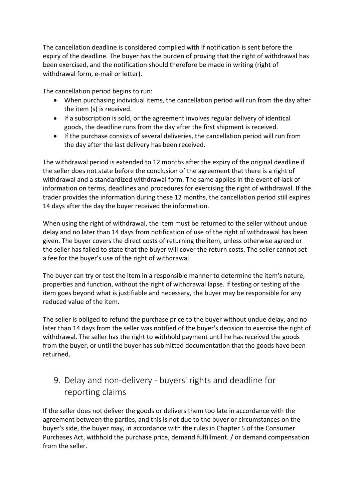The cancellation deadline is considered complied with if notification is sent before the expiry of the deadline. The buyer has the burden of proving that the right of withdrawal has been exercised, and the notification should therefore be made in writing (right of withdrawal form, e-mail or letter).

The cancellation period begins to run:

- When purchasing individual items, the cancellation period will run from the day after the item (s) is received.
- If a subscription is sold, or the agreement involves regular delivery of identical goods, the deadline runs from the day after the first shipment is received.
- If the purchase consists of several deliveries, the cancellation period will run from the day after the last delivery has been received.

The withdrawal period is extended to 12 months after the expiry of the original deadline if the seller does not state before the conclusion of the agreement that there is a right of withdrawal and a standardized withdrawal form. The same applies in the event of lack of information on terms, deadlines and procedures for exercising the right of withdrawal. If the trader provides the information during these 12 months, the cancellation period still expires 14 days after the day the buyer received the information.

When using the right of withdrawal, the item must be returned to the seller without undue delay and no later than 14 days from notification of use of the right of withdrawal has been given. The buyer covers the direct costs of returning the item, unless otherwise agreed or the seller has failed to state that the buyer will cover the return costs. The seller cannot set a fee for the buyer's use of the right of withdrawal.

The buyer can try or test the item in a responsible manner to determine the item's nature, properties and function, without the right of withdrawal lapse. If testing or testing of the item goes beyond what is justifiable and necessary, the buyer may be responsible for any reduced value of the item.

The seller is obliged to refund the purchase price to the buyer without undue delay, and no later than 14 days from the seller was notified of the buyer's decision to exercise the right of withdrawal. The seller has the right to withhold payment until he has received the goods from the buyer, or until the buyer has submitted documentation that the goods have been returned.

# 9. Delay and non-delivery - buyers' rights and deadline for reporting claims

If the seller does not deliver the goods or delivers them too late in accordance with the agreement between the parties, and this is not due to the buyer or circumstances on the buyer's side, the buyer may, in accordance with the rules in Chapter 5 of the Consumer Purchases Act, withhold the purchase price, demand fulfillment. / or demand compensation from the seller.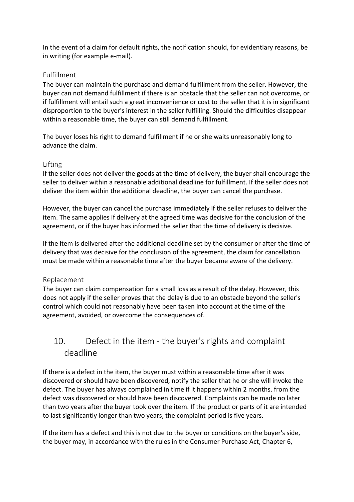In the event of a claim for default rights, the notification should, for evidentiary reasons, be in writing (for example e-mail).

#### Fulfillment

The buyer can maintain the purchase and demand fulfillment from the seller. However, the buyer can not demand fulfillment if there is an obstacle that the seller can not overcome, or if fulfillment will entail such a great inconvenience or cost to the seller that it is in significant disproportion to the buyer's interest in the seller fulfilling. Should the difficulties disappear within a reasonable time, the buyer can still demand fulfillment.

The buyer loses his right to demand fulfillment if he or she waits unreasonably long to advance the claim.

#### Lifting

If the seller does not deliver the goods at the time of delivery, the buyer shall encourage the seller to deliver within a reasonable additional deadline for fulfillment. If the seller does not deliver the item within the additional deadline, the buyer can cancel the purchase.

However, the buyer can cancel the purchase immediately if the seller refuses to deliver the item. The same applies if delivery at the agreed time was decisive for the conclusion of the agreement, or if the buyer has informed the seller that the time of delivery is decisive.

If the item is delivered after the additional deadline set by the consumer or after the time of delivery that was decisive for the conclusion of the agreement, the claim for cancellation must be made within a reasonable time after the buyer became aware of the delivery.

#### Replacement

The buyer can claim compensation for a small loss as a result of the delay. However, this does not apply if the seller proves that the delay is due to an obstacle beyond the seller's control which could not reasonably have been taken into account at the time of the agreement, avoided, or overcome the consequences of.

## 10. Defect in the item - the buyer's rights and complaint deadline

If there is a defect in the item, the buyer must within a reasonable time after it was discovered or should have been discovered, notify the seller that he or she will invoke the defect. The buyer has always complained in time if it happens within 2 months. from the defect was discovered or should have been discovered. Complaints can be made no later than two years after the buyer took over the item. If the product or parts of it are intended to last significantly longer than two years, the complaint period is five years.

If the item has a defect and this is not due to the buyer or conditions on the buyer's side, the buyer may, in accordance with the rules in the Consumer Purchase Act, Chapter 6,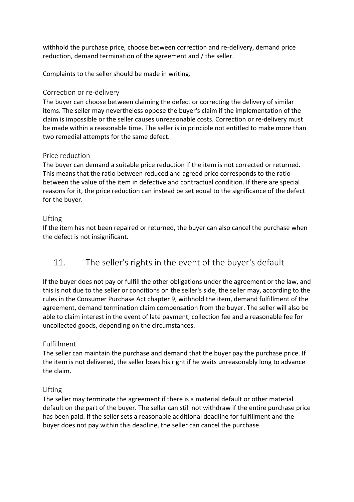withhold the purchase price, choose between correction and re-delivery, demand price reduction, demand termination of the agreement and / the seller.

Complaints to the seller should be made in writing.

#### Correction or re-delivery

The buyer can choose between claiming the defect or correcting the delivery of similar items. The seller may nevertheless oppose the buyer's claim if the implementation of the claim is impossible or the seller causes unreasonable costs. Correction or re-delivery must be made within a reasonable time. The seller is in principle not entitled to make more than two remedial attempts for the same defect.

#### Price reduction

The buyer can demand a suitable price reduction if the item is not corrected or returned. This means that the ratio between reduced and agreed price corresponds to the ratio between the value of the item in defective and contractual condition. If there are special reasons for it, the price reduction can instead be set equal to the significance of the defect for the buyer.

#### Lifting

If the item has not been repaired or returned, the buyer can also cancel the purchase when the defect is not insignificant.

## 11. The seller's rights in the event of the buyer's default

If the buyer does not pay or fulfill the other obligations under the agreement or the law, and this is not due to the seller or conditions on the seller's side, the seller may, according to the rules in the Consumer Purchase Act chapter 9, withhold the item, demand fulfillment of the agreement, demand termination claim compensation from the buyer. The seller will also be able to claim interest in the event of late payment, collection fee and a reasonable fee for uncollected goods, depending on the circumstances.

#### Fulfillment

The seller can maintain the purchase and demand that the buyer pay the purchase price. If the item is not delivered, the seller loses his right if he waits unreasonably long to advance the claim.

### Lifting

The seller may terminate the agreement if there is a material default or other material default on the part of the buyer. The seller can still not withdraw if the entire purchase price has been paid. If the seller sets a reasonable additional deadline for fulfillment and the buyer does not pay within this deadline, the seller can cancel the purchase.